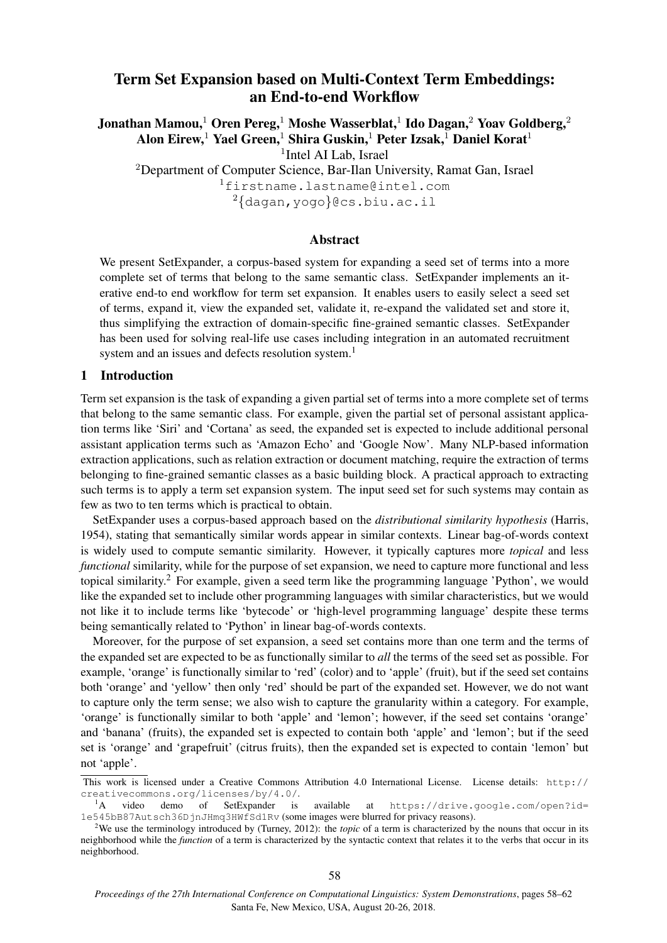# Term Set Expansion based on Multi-Context Term Embeddings: an End-to-end Workflow

Jonathan Mamou, $^1$  Oren Pereg, $^1$  Moshe Wasserblat, $^1$  Ido Dagan, $^2$  Yoav Goldberg, $^2$ Alon Eirew,<sup>1</sup> Yael Green,<sup>1</sup> Shira Guskin,<sup>1</sup> Peter Izsak,<sup>1</sup> Daniel Korat<sup>1</sup>

<sup>1</sup>Intel AI Lab, Israel

<sup>2</sup>Department of Computer Science, Bar-Ilan University, Ramat Gan, Israel

<sup>1</sup>firstname.lastname@intel.com <sup>2</sup>{dagan,yogo}@cs.biu.ac.il

### Abstract

We present SetExpander, a corpus-based system for expanding a seed set of terms into a more complete set of terms that belong to the same semantic class. SetExpander implements an iterative end-to end workflow for term set expansion. It enables users to easily select a seed set of terms, expand it, view the expanded set, validate it, re-expand the validated set and store it, thus simplifying the extraction of domain-specific fine-grained semantic classes. SetExpander has been used for solving real-life use cases including integration in an automated recruitment system and an issues and defects resolution system.<sup>1</sup>

### 1 Introduction

Term set expansion is the task of expanding a given partial set of terms into a more complete set of terms that belong to the same semantic class. For example, given the partial set of personal assistant application terms like 'Siri' and 'Cortana' as seed, the expanded set is expected to include additional personal assistant application terms such as 'Amazon Echo' and 'Google Now'. Many NLP-based information extraction applications, such as relation extraction or document matching, require the extraction of terms belonging to fine-grained semantic classes as a basic building block. A practical approach to extracting such terms is to apply a term set expansion system. The input seed set for such systems may contain as few as two to ten terms which is practical to obtain.

SetExpander uses a corpus-based approach based on the *distributional similarity hypothesis* (Harris, 1954), stating that semantically similar words appear in similar contexts. Linear bag-of-words context is widely used to compute semantic similarity. However, it typically captures more *topical* and less *functional* similarity, while for the purpose of set expansion, we need to capture more functional and less topical similarity.<sup>2</sup> For example, given a seed term like the programming language 'Python', we would like the expanded set to include other programming languages with similar characteristics, but we would not like it to include terms like 'bytecode' or 'high-level programming language' despite these terms being semantically related to 'Python' in linear bag-of-words contexts.

Moreover, for the purpose of set expansion, a seed set contains more than one term and the terms of the expanded set are expected to be as functionally similar to *all* the terms of the seed set as possible. For example, 'orange' is functionally similar to 'red' (color) and to 'apple' (fruit), but if the seed set contains both 'orange' and 'yellow' then only 'red' should be part of the expanded set. However, we do not want to capture only the term sense; we also wish to capture the granularity within a category. For example, 'orange' is functionally similar to both 'apple' and 'lemon'; however, if the seed set contains 'orange' and 'banana' (fruits), the expanded set is expected to contain both 'apple' and 'lemon'; but if the seed set is 'orange' and 'grapefruit' (citrus fruits), then the expanded set is expected to contain 'lemon' but not 'apple'.

This work is licensed under a Creative Commons Attribution 4.0 International License. License details: http:// creativecommons.org/licenses/by/4.0/.

<sup>&</sup>lt;sup>1</sup>A video demo of SetExpander is available at https://drive.google.com/open?id= 1e545bB87Autsch36DjnJHmq3HWfSd1Rv (some images were blurred for privacy reasons).

<sup>2</sup>We use the terminology introduced by (Turney, 2012): the *topic* of a term is characterized by the nouns that occur in its neighborhood while the *function* of a term is characterized by the syntactic context that relates it to the verbs that occur in its neighborhood.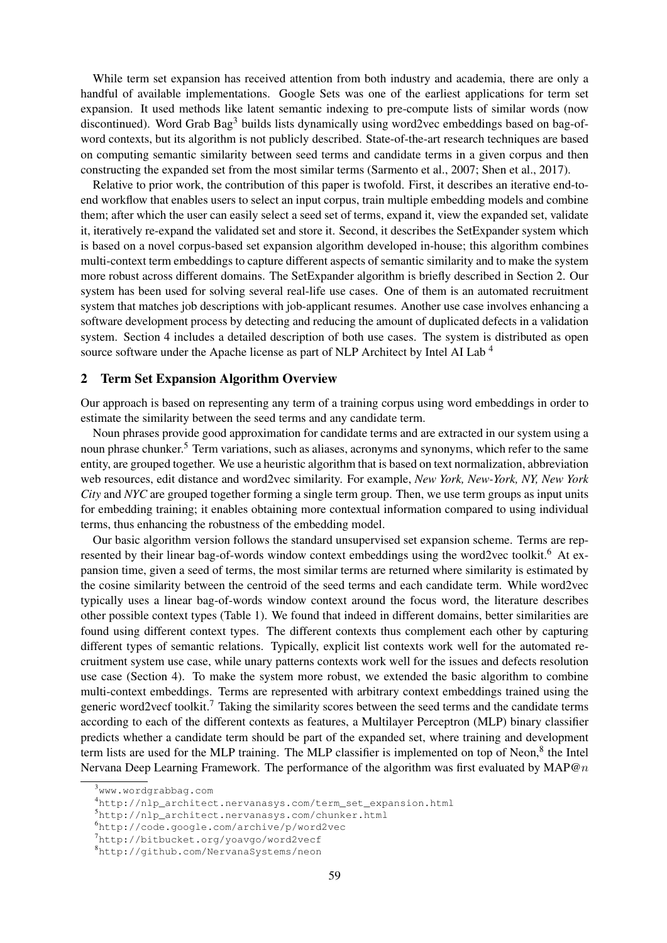While term set expansion has received attention from both industry and academia, there are only a handful of available implementations. Google Sets was one of the earliest applications for term set expansion. It used methods like latent semantic indexing to pre-compute lists of similar words (now discontinued). Word Grab Bag<sup>3</sup> builds lists dynamically using word2vec embeddings based on bag-ofword contexts, but its algorithm is not publicly described. State-of-the-art research techniques are based on computing semantic similarity between seed terms and candidate terms in a given corpus and then constructing the expanded set from the most similar terms (Sarmento et al., 2007; Shen et al., 2017).

Relative to prior work, the contribution of this paper is twofold. First, it describes an iterative end-toend workflow that enables users to select an input corpus, train multiple embedding models and combine them; after which the user can easily select a seed set of terms, expand it, view the expanded set, validate it, iteratively re-expand the validated set and store it. Second, it describes the SetExpander system which is based on a novel corpus-based set expansion algorithm developed in-house; this algorithm combines multi-context term embeddings to capture different aspects of semantic similarity and to make the system more robust across different domains. The SetExpander algorithm is briefly described in Section 2. Our system has been used for solving several real-life use cases. One of them is an automated recruitment system that matches job descriptions with job-applicant resumes. Another use case involves enhancing a software development process by detecting and reducing the amount of duplicated defects in a validation system. Section 4 includes a detailed description of both use cases. The system is distributed as open source software under the Apache license as part of NLP Architect by Intel AI Lab <sup>4</sup>

### 2 Term Set Expansion Algorithm Overview

Our approach is based on representing any term of a training corpus using word embeddings in order to estimate the similarity between the seed terms and any candidate term.

Noun phrases provide good approximation for candidate terms and are extracted in our system using a noun phrase chunker.<sup>5</sup> Term variations, such as aliases, acronyms and synonyms, which refer to the same entity, are grouped together. We use a heuristic algorithm that is based on text normalization, abbreviation web resources, edit distance and word2vec similarity. For example, *New York, New-York, NY, New York City* and *NYC* are grouped together forming a single term group. Then, we use term groups as input units for embedding training; it enables obtaining more contextual information compared to using individual terms, thus enhancing the robustness of the embedding model.

Our basic algorithm version follows the standard unsupervised set expansion scheme. Terms are represented by their linear bag-of-words window context embeddings using the word2vec toolkit.<sup>6</sup> At expansion time, given a seed of terms, the most similar terms are returned where similarity is estimated by the cosine similarity between the centroid of the seed terms and each candidate term. While word2vec typically uses a linear bag-of-words window context around the focus word, the literature describes other possible context types (Table 1). We found that indeed in different domains, better similarities are found using different context types. The different contexts thus complement each other by capturing different types of semantic relations. Typically, explicit list contexts work well for the automated recruitment system use case, while unary patterns contexts work well for the issues and defects resolution use case (Section 4). To make the system more robust, we extended the basic algorithm to combine multi-context embeddings. Terms are represented with arbitrary context embeddings trained using the generic word2vecf toolkit.<sup>7</sup> Taking the similarity scores between the seed terms and the candidate terms according to each of the different contexts as features, a Multilayer Perceptron (MLP) binary classifier predicts whether a candidate term should be part of the expanded set, where training and development term lists are used for the MLP training. The MLP classifier is implemented on top of Neon,<sup>8</sup> the Intel Nervana Deep Learning Framework. The performance of the algorithm was first evaluated by  $MAP@n$ 

<sup>3</sup>www.wordgrabbag.com

<sup>4</sup>http://nlp\_architect.nervanasys.com/term\_set\_expansion.html

<sup>5</sup>http://nlp\_architect.nervanasys.com/chunker.html

<sup>6</sup>http://code.google.com/archive/p/word2vec

<sup>7</sup>http://bitbucket.org/yoavgo/word2vecf

<sup>8</sup>http://github.com/NervanaSystems/neon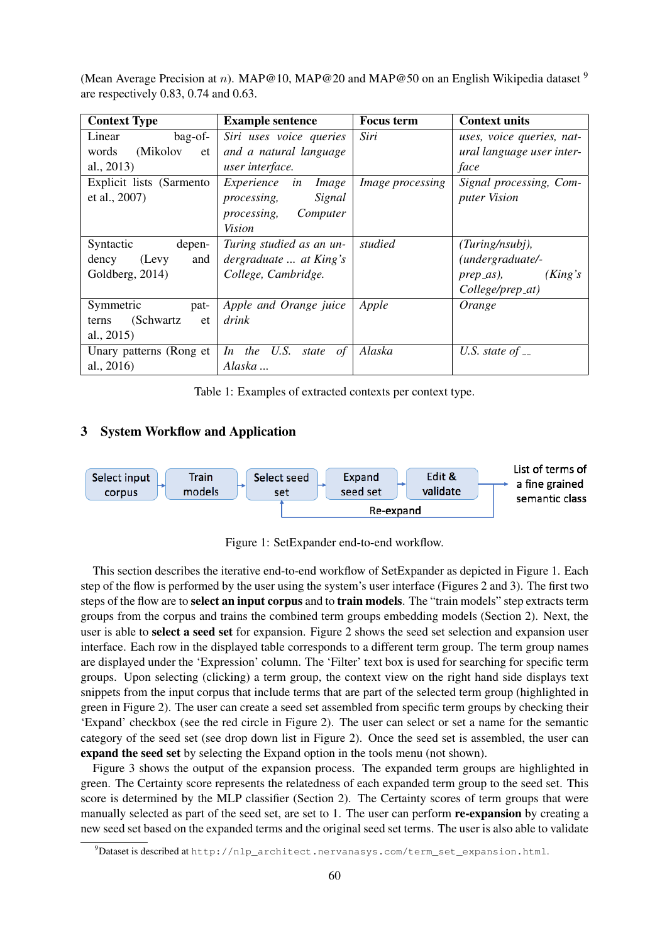(Mean Average Precision at n). MAP@10, MAP@20 and MAP@50 on an English Wikipedia dataset <sup>9</sup> are respectively 0.83, 0.74 and 0.63.

| <b>Context Type</b>       | <b>Example sentence</b>          | <b>Focus</b> term | <b>Context units</b>      |
|---------------------------|----------------------------------|-------------------|---------------------------|
| Linear<br>bag-of-         | Siri uses voice queries          | Siri              | uses, voice queries, nat- |
| (Mikolov<br>words<br>et   | and a natural language           |                   | ural language user inter- |
| al., 2013)                | user interface.                  |                   | face                      |
| Explicit lists (Sarmento  | Experience<br><i>Image</i><br>in | Image processing  | Signal processing, Com-   |
| et al., 2007)             | Signal<br><i>processing,</i>     |                   | <i>puter Vision</i>       |
|                           | Computer<br><i>processing,</i>   |                   |                           |
|                           | Vision                           |                   |                           |
| Syntactic<br>depen-       | Turing studied as an un-         | studied           | (Turing/nsubj),           |
| (Levy)<br>dency<br>and    | dergraduate  at King's           |                   | (undergraduate/-          |
| Goldberg, 2014)           | College, Cambridge.              |                   | (King's)<br>prep_as),     |
|                           |                                  |                   | College/prep_at)          |
| Symmetric<br>pat-         | Apple and Orange juice           | Apple             | Orange                    |
| (Schwartz)<br>et<br>terns | drink                            |                   |                           |
| al., $2015$               |                                  |                   |                           |
| Unary patterns (Rong et   | In the U.S. state<br>of          | Alaska            | U.S. state of $-$         |
| al., 2016)                | Alaska                           |                   |                           |

Table 1: Examples of extracted contexts per context type.

### 3 System Workflow and Application



Figure 1: SetExpander end-to-end workflow.

This section describes the iterative end-to-end workflow of SetExpander as depicted in Figure 1. Each step of the flow is performed by the user using the system's user interface (Figures 2 and 3). The first two steps of the flow are to **select an input corpus** and to **train models**. The "train models" step extracts term groups from the corpus and trains the combined term groups embedding models (Section 2). Next, the user is able to select a seed set for expansion. Figure 2 shows the seed set selection and expansion user interface. Each row in the displayed table corresponds to a different term group. The term group names are displayed under the 'Expression' column. The 'Filter' text box is used for searching for specific term groups. Upon selecting (clicking) a term group, the context view on the right hand side displays text snippets from the input corpus that include terms that are part of the selected term group (highlighted in green in Figure 2). The user can create a seed set assembled from specific term groups by checking their 'Expand' checkbox (see the red circle in Figure 2). The user can select or set a name for the semantic category of the seed set (see drop down list in Figure 2). Once the seed set is assembled, the user can expand the seed set by selecting the Expand option in the tools menu (not shown).

Figure 3 shows the output of the expansion process. The expanded term groups are highlighted in green. The Certainty score represents the relatedness of each expanded term group to the seed set. This score is determined by the MLP classifier (Section 2). The Certainty scores of term groups that were manually selected as part of the seed set, are set to 1. The user can perform re-expansion by creating a new seed set based on the expanded terms and the original seed set terms. The user is also able to validate

<sup>9</sup>Dataset is described at http://nlp\_architect.nervanasys.com/term\_set\_expansion.html.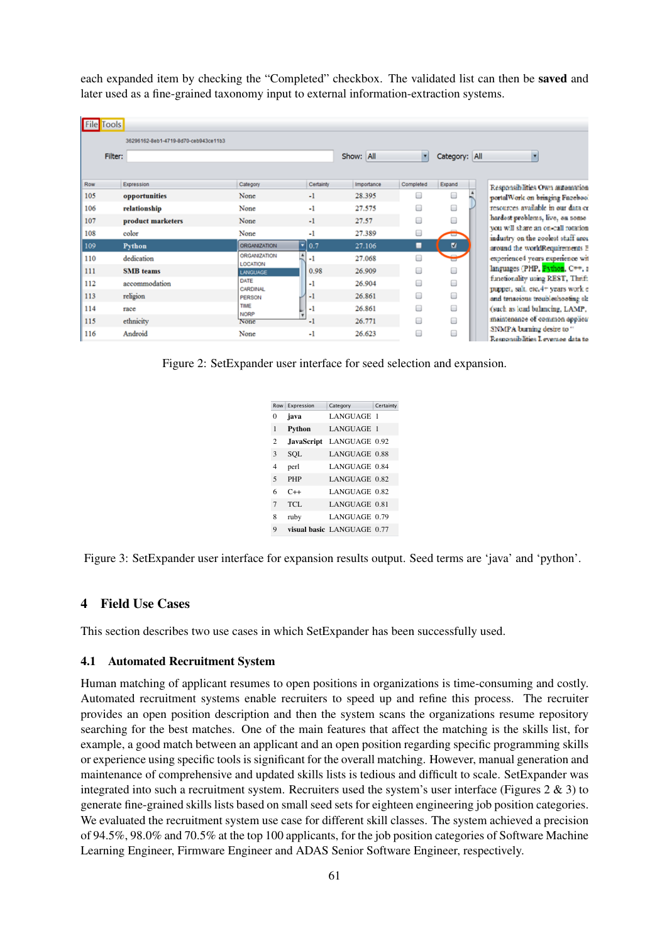each expanded item by checking the "Completed" checkbox. The validated list can then be saved and later used as a fine-grained taxonomy input to external information-extraction systems.

| <b>File</b> Tools |                   |                                      |                                        |                    |            |           |               |  |
|-------------------|-------------------|--------------------------------------|----------------------------------------|--------------------|------------|-----------|---------------|--|
|                   |                   | 36296162-8eb1-4719-8d70-ceb943ce11b3 |                                        |                    |            |           |               |  |
|                   | Filter:           |                                      |                                        |                    | Show: All  | ×         | Category: All |  |
|                   |                   |                                      |                                        |                    |            |           |               |  |
| Row               | Expression        |                                      | Category                               | Certainty          | Importance | Completed | Expand        |  |
| 105               | opportunities     |                                      | None                                   | $-1$               | 28.395     | ▣         | □             |  |
| 106               | relationship      |                                      | None                                   | -1                 | 27.575     | ⊟         | 0             |  |
| 107               | product marketers |                                      | None                                   | $-1$               | 27.57      | ⊟         |               |  |
| 108               | color             |                                      | None                                   | -1                 | 27.389     | 8         |               |  |
| 109               | <b>Python</b>     |                                      | <b>ORGANIZATION</b>                    | $\overline{•}$ 0.7 | 27.106     | ■         | u             |  |
| 110               | dedication        |                                      | <b>ORGANIZATION</b><br><b>LOCATION</b> | ×<br>-1            | 27.068     | ⊟         |               |  |
| 111               | <b>SMB</b> teams  |                                      | <b>LANGUAGE</b>                        | 0.98               | 26,909     | ⊟         | □             |  |
| 112               | accommodation     |                                      | DATE<br>CARDINAL                       | -1                 | 26.904     | ⊟         | O             |  |
| 113               | religion          |                                      | PERSON                                 | -1                 | 26.861     | ⊟         | O             |  |
| 114               | race              |                                      | TIME<br><b>NORP</b>                    | $-1$               | 26.861     | ⊟         | □             |  |
| 115               | ethnicity         |                                      | None                                   | -1                 | 26.771     | ⊟         | O             |  |
| 116               | Android           |                                      | None                                   | -1                 | 26.623     |           | O             |  |

Figure 2: SetExpander user interface for seed selection and expansion.

| Row            | Expression | Category                   | Certainty |
|----------------|------------|----------------------------|-----------|
| 0              | java       | LANGUAGE 1                 |           |
| 1              | Python     | LANGUAGE 1                 |           |
| $\overline{c}$ | JavaScript | LANGUAGE 0.92              |           |
| 3              | SOL        | LANGUAGE 0.88              |           |
| 4              | perl       | LANGUAGE 0.84              |           |
| 5              | PHP        | LANGUAGE 0.82              |           |
| 6              | $C++$      | LANGUAGE 0.82              |           |
| $\overline{7}$ | TCL.       | LANGUAGE 0.81              |           |
| 8              | ruby       | <b>LANGUAGE 0.79</b>       |           |
| 9              |            | visual basic LANGUAGE 0.77 |           |

Figure 3: SetExpander user interface for expansion results output. Seed terms are 'java' and 'python'.

### 4 Field Use Cases

This section describes two use cases in which SetExpander has been successfully used.

#### 4.1 Automated Recruitment System

Human matching of applicant resumes to open positions in organizations is time-consuming and costly. Automated recruitment systems enable recruiters to speed up and refine this process. The recruiter provides an open position description and then the system scans the organizations resume repository searching for the best matches. One of the main features that affect the matching is the skills list, for example, a good match between an applicant and an open position regarding specific programming skills or experience using specific tools is significant for the overall matching. However, manual generation and maintenance of comprehensive and updated skills lists is tedious and difficult to scale. SetExpander was integrated into such a recruitment system. Recruiters used the system's user interface (Figures 2 & 3) to generate fine-grained skills lists based on small seed sets for eighteen engineering job position categories. We evaluated the recruitment system use case for different skill classes. The system achieved a precision of 94.5%, 98.0% and 70.5% at the top 100 applicants, for the job position categories of Software Machine Learning Engineer, Firmware Engineer and ADAS Senior Software Engineer, respectively.